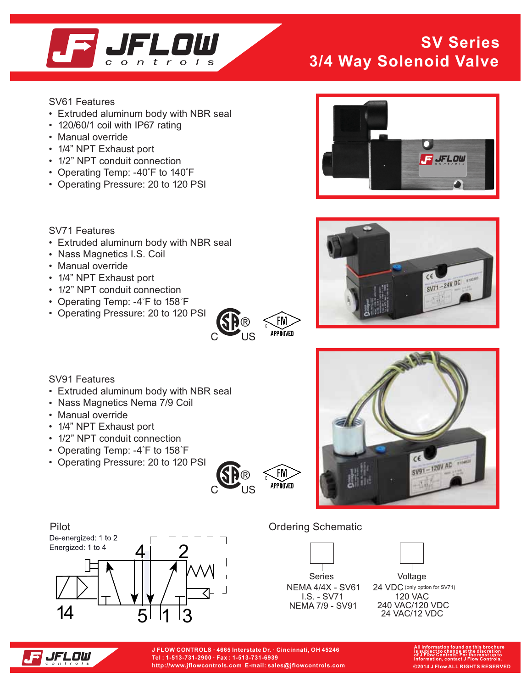

### **SV Series 3/4 Way Solenoid Valve**

SV61 Features

- Extruded aluminum body with NBR seal
- 120/60/1 coil with IP67 rating
- Manual override
- 1/4" NPT Exhaust port
- 1/2" NPT conduit connection
- Operating Temp: -40°F to 140°F
- Operating Pressure: 20 to 120 PSI

SV71 Features

- Extruded aluminum body with NBR seal
- Nass Magnetics I.S. Coil
- Manual override
- 1/4" NPT Exhaust port
- 1/2" NPT conduit connection
- Operating Temp: -4°F to 158°F
- Operating Pressure: 20 to 120 PSI











- Extruded aluminum body with NBR seal
- Nass Magnetics Nema 7/9 Coil
- Manual override
- 1/4" NPT Exhaust port
- 1/2" NPT conduit connection
- Operating Temp: -4°F to 158°F
- Operating Pressure: 20 to 120 PSI







|                  | Series |  |
|------------------|--------|--|
| NEMA 4/4X - SV61 |        |  |
| LS. - SV71       |        |  |

NEMA 7/9 - SV91

Voltage  $24 \text{ VDC}$  (only option for SV71) 120 VAC 240 VAC/120 VDC 24 VAC/12 VDC



**J FLOW CONTROLS · 4665 Interstate Dr. · Cincinnati, OH 45246 Tel : 1-513-731-2900 · Fax : 1-513-731-6939 http://www.jflowcontrols.com E-mail: sales@jflowcontrols.com**

**All information found on this brochure is subject to change at the discretion of J Flow Controls. For the most up to information, contact J Flow Controls. ©2014 J Flow ALL RIGHTS RESERVED**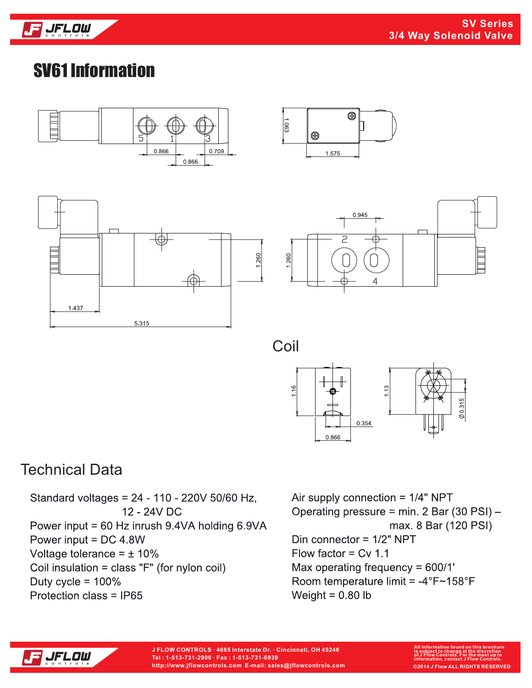

# SV61 Information







 $^{\circledR}$ 



 $\frac{63}{2}$ 

 $\circledcirc$ 

1.575



### Technical Data

Standard voltages = 24 - 110 - 220V 50/60 Hz, 12 - 24V DC Power input = 60 Hz inrush 9.4VA holding 6.9VA Power input = DC 4.8W Voltage tolerance =  $\pm$  10% Coil insulation = class "F" (for nylon coil) Duty cycle =  $100\%$ Protection class = IP65

Air supply connection =  $1/4$ " NPT Operating pressure = min. 2 Bar (30 PSI) max. 8 Bar (120 PSI) Din connector =  $1/2$ " NPT Flow factor =  $Cv$  1.1 Max operating frequency = 600/1' Room temperature limit = -4°F~158°F Weight =  $0.80$  lb

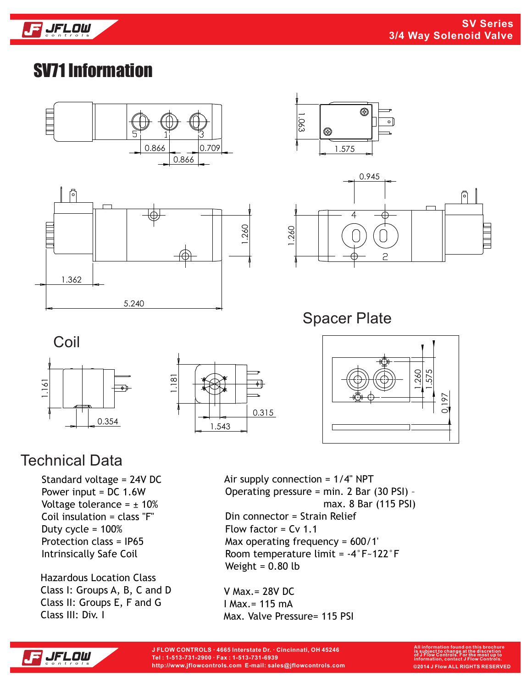

# SV71 Information









Spacer Plate





#### Technical Data

Standard voltage = 24V DC Power input = DC 1.6W Voltage tolerance =  $\pm$  10% Coil insulation = class "F" Duty cycle = 100% Protection class = IP65 Intrinsically Safe Coil

Hazardous Location Class Class I: Groups A, B, C and D Class II: Groups E, F and G Class III: Div. I

 0.197 1.260 57

Air supply connection = 1/4" NPT Operating pressure = min. 2 Bar (30 PSI) – max. 8 Bar (115 PSI) Din connector = Strain Relief Flow factor = Cv 1.1 Max operating frequency = 600/1' Room temperature limit = -4°F~122°F Weight =  $0.80$  lb

V Max.= 28V DC I Max.= 115 mA Max. Valve Pressure= 115 PSI



**J FLOW CONTROLS · 4665 Interstate Dr. · Cincinnati, OH 45246 Tel : 1-513-731-2900 · Fax : 1-513-731-6939 http://www.jflowcontrols.com E-mail: sales@jflowcontrols.com**

**All information found on this brochure is subject to change at the discretion of J Flow Controls. For the most up to information, contact J Flow Controls. ©2014 J Flow ALL RIGHTS RESERVED**